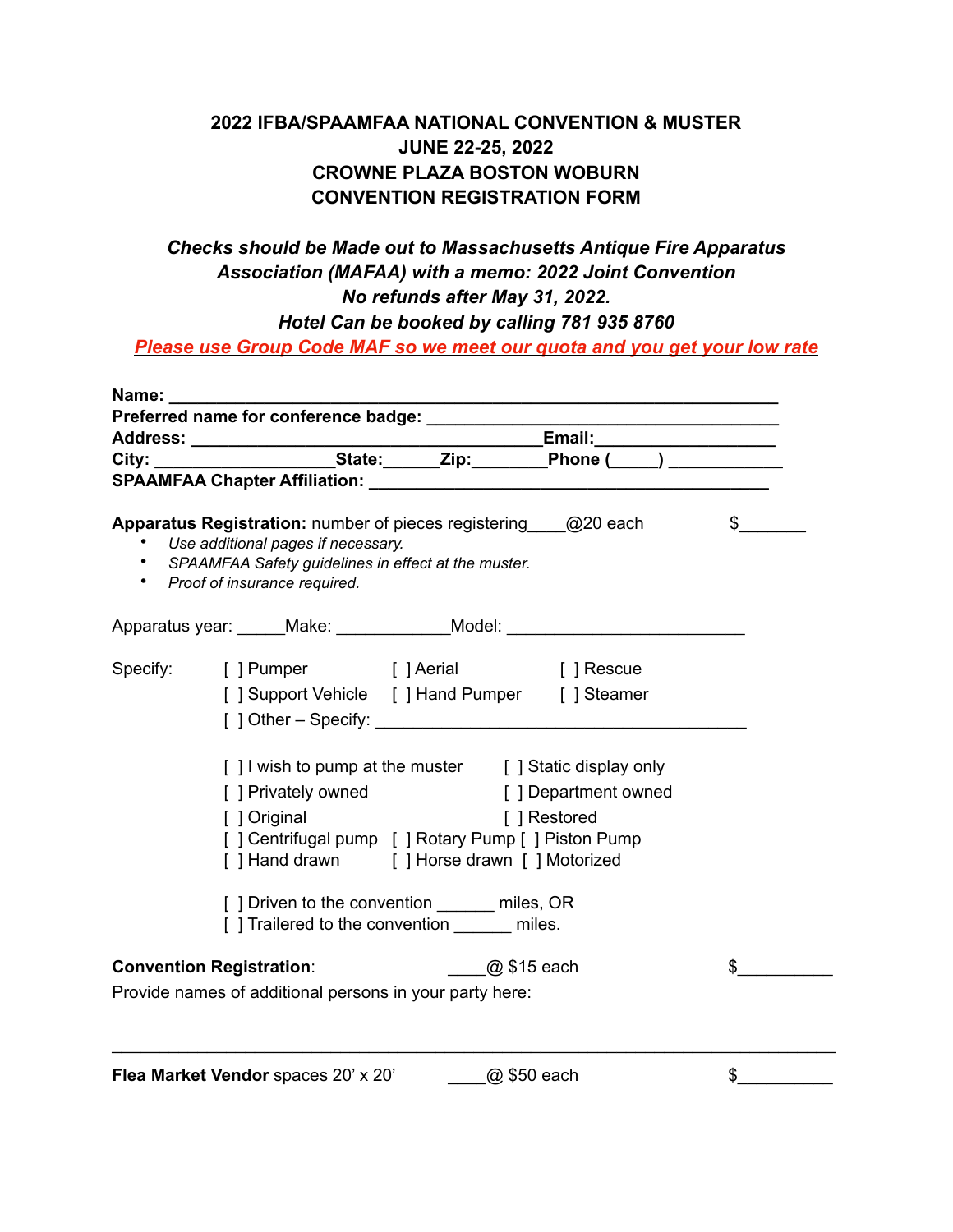## **2022 IFBA/SPAAMFAA NATIONAL CONVENTION & MUSTER JUNE 22-25, 2022 CROWNE PLAZA BOSTON WOBURN CONVENTION REGISTRATION FORM**

## *Checks should be Made out to Massachusetts Antique Fire Apparatus Association (MAFAA) with a memo: 2022 Joint Convention No refunds after May 31, 2022.*

*Hotel Can be booked by calling 781 935 8760*

*Please use Group Code MAF so we meet our quota and you get your low rate*

| Name: Name                      |                                                                                                                                                                                                |                                                                                                |                      |              |  |
|---------------------------------|------------------------------------------------------------------------------------------------------------------------------------------------------------------------------------------------|------------------------------------------------------------------------------------------------|----------------------|--------------|--|
|                                 |                                                                                                                                                                                                |                                                                                                |                      |              |  |
|                                 |                                                                                                                                                                                                |                                                                                                |                      |              |  |
|                                 |                                                                                                                                                                                                |                                                                                                |                      |              |  |
|                                 |                                                                                                                                                                                                |                                                                                                |                      |              |  |
|                                 | Apparatus Registration: number of pieces registering @20 each<br>Use additional pages if necessary.<br>• SPAAMFAA Safety guidelines in effect at the muster.<br>• Proof of insurance required. |                                                                                                |                      | $\mathbb{S}$ |  |
|                                 | Apparatus year: ______Make: _____________Model: ________________________________                                                                                                               |                                                                                                |                      |              |  |
|                                 | Specify: [] Pumper [] Aerial [] Rescue                                                                                                                                                         |                                                                                                |                      |              |  |
|                                 | [] Support Vehicle [] Hand Pumper [] Steamer                                                                                                                                                   |                                                                                                |                      |              |  |
|                                 | [] I wish to pump at the muster [] Static display only                                                                                                                                         |                                                                                                |                      |              |  |
|                                 | [ ] Privately owned                                                                                                                                                                            |                                                                                                | [ ] Department owned |              |  |
|                                 | [ ] Original                                                                                                                                                                                   |                                                                                                | [ ] Restored         |              |  |
|                                 |                                                                                                                                                                                                | [] Centrifugal pump [] Rotary Pump [] Piston Pump<br>[] Hand drawn [] Horse drawn [] Motorized |                      |              |  |
|                                 | [] Driven to the convention ______ miles, OR<br>[] Trailered to the convention _______ miles.                                                                                                  |                                                                                                |                      |              |  |
| <b>Convention Registration:</b> |                                                                                                                                                                                                | ________@ \$15 each                                                                            |                      | \$           |  |
|                                 | Provide names of additional persons in your party here:                                                                                                                                        |                                                                                                |                      |              |  |
|                                 |                                                                                                                                                                                                |                                                                                                |                      |              |  |